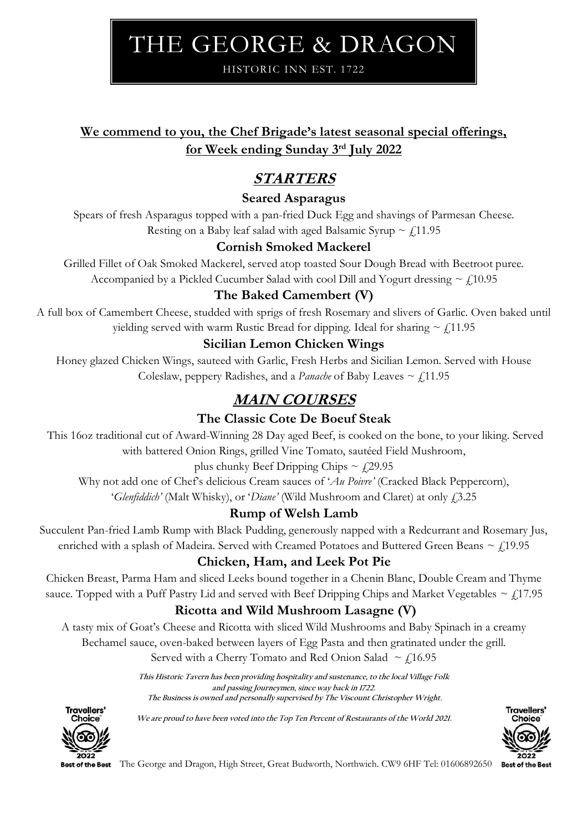# THE GEORGE & DRAGON

HISTORIC INN EST. 1722

# **We commend to you, the Chef Brigade's latest seasonal special offerings, for Week ending Sunday 3 rd July 2022**

# **STARTERS**

### **Seared Asparagus**

Spears of fresh Asparagus topped with a pan-fried Duck Egg and shavings of Parmesan Cheese. Resting on a Baby leaf salad with aged Balsamic Syrup  $\sim \frac{1}{2}$ 11.95

# **Cornish Smoked Mackerel**

Grilled Fillet of Oak Smoked Mackerel, served atop toasted Sour Dough Bread with Beetroot puree. Accompanied by a Pickled Cucumber Salad with cool Dill and Yogurt dressing  $\sim$  £10.95

# **The Baked Camembert (V)**

A full box of Camembert Cheese, studded with sprigs of fresh Rosemary and slivers of Garlic. Oven baked until yielding served with warm Rustic Bread for dipping. Ideal for sharing  $\sim \frac{1}{2}$ ,11.95

## **Sicilian Lemon Chicken Wings**

Honey glazed Chicken Wings, sauteed with Garlic, Fresh Herbs and Sicilian Lemon. Served with House Coleslaw, peppery Radishes, and a *Panache* of Baby Leaves  $\sim$  £11.95

# **MAIN COURSES**

# **The Classic Cote De Boeuf Steak**

This 16oz traditional cut of Award-Winning 28 Day aged Beef, is cooked on the bone, to your liking. Served with battered Onion Rings, grilled Vine Tomato, sautéed Field Mushroom,

#### plus chunky Beef Dripping Chips  $\sim$   $\mu$ 29.95

Why not add one of Chef's delicious Cream sauces of '*Au Poivre'* (Cracked Black Peppercorn), '*Glenfiddich'* (Malt Whisky), or '*Diane'* (Wild Mushroom and Claret) at only £3.25

#### **Rump of Welsh Lamb**

Succulent Pan-fried Lamb Rump with Black Pudding, generously napped with a Redcurrant and Rosemary Jus, enriched with a splash of Madeira. Served with Creamed Potatoes and Buttered Green Beans  $\sim$   $f$ 19.95

# **Chicken, Ham, and Leek Pot Pie**

Chicken Breast, Parma Ham and sliced Leeks bound together in a Chenin Blanc, Double Cream and Thyme sauce. Topped with a Puff Pastry Lid and served with Beef Dripping Chips and Market Vegetables  $\sim$  £17.95

# **Ricotta and Wild Mushroom Lasagne (V)**

A tasty mix of Goat's Cheese and Ricotta with sliced Wild Mushrooms and Baby Spinach in a creamy

Bechamel sauce, oven-baked between layers of Egg Pasta and then gratinated under the grill.

Served with a Cherry Tomato and Red Onion Salad  $\sim$  £16.95

**This Historic Tavern has been providing hospitality and sustenance, to the local Village Folk and passing Journeymen, since way back in 1722. The Business is owned and personally supervised by The Viscount Christopher Wright.**



**We are proud to have been voted into the Top Ten Percent of Restaurants of the World 2021.**



**Best of the Best** 

The George and Dragon, High Street, Great Budworth, Northwich. CW9 6HF Tel: 01606892650